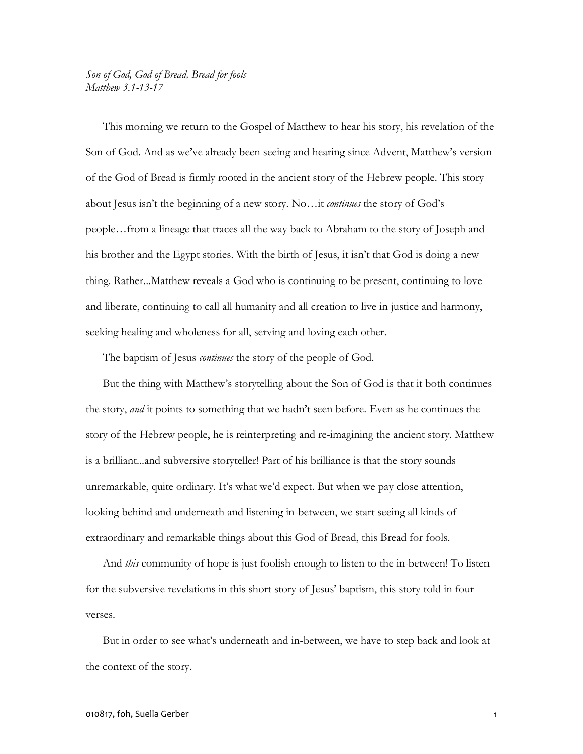## *Son of God, God of Bread, Bread for fools Matthew 3.1-13-17*

This morning we return to the Gospel of Matthew to hear his story, his revelation of the Son of God. And as we've already been seeing and hearing since Advent, Matthew's version of the God of Bread is firmly rooted in the ancient story of the Hebrew people. This story about Jesus isn't the beginning of a new story. No…it *continues* the story of God's people…from a lineage that traces all the way back to Abraham to the story of Joseph and his brother and the Egypt stories. With the birth of Jesus, it isn't that God is doing a new thing. Rather...Matthew reveals a God who is continuing to be present, continuing to love and liberate, continuing to call all humanity and all creation to live in justice and harmony, seeking healing and wholeness for all, serving and loving each other.

The baptism of Jesus *continues* the story of the people of God.

But the thing with Matthew's storytelling about the Son of God is that it both continues the story, *and* it points to something that we hadn't seen before. Even as he continues the story of the Hebrew people, he is reinterpreting and re-imagining the ancient story. Matthew is a brilliant...and subversive storyteller! Part of his brilliance is that the story sounds unremarkable, quite ordinary. It's what we'd expect. But when we pay close attention, looking behind and underneath and listening in-between, we start seeing all kinds of extraordinary and remarkable things about this God of Bread, this Bread for fools.

And *this* community of hope is just foolish enough to listen to the in-between! To listen for the subversive revelations in this short story of Jesus' baptism, this story told in four verses.

But in order to see what's underneath and in-between, we have to step back and look at the context of the story.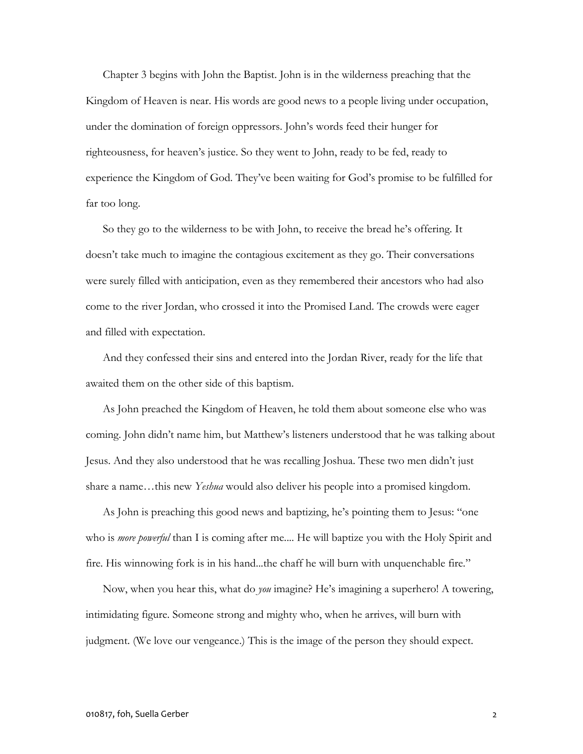Chapter 3 begins with John the Baptist. John is in the wilderness preaching that the Kingdom of Heaven is near. His words are good news to a people living under occupation, under the domination of foreign oppressors. John's words feed their hunger for righteousness, for heaven's justice. So they went to John, ready to be fed, ready to experience the Kingdom of God. They've been waiting for God's promise to be fulfilled for far too long.

So they go to the wilderness to be with John, to receive the bread he's offering. It doesn't take much to imagine the contagious excitement as they go. Their conversations were surely filled with anticipation, even as they remembered their ancestors who had also come to the river Jordan, who crossed it into the Promised Land. The crowds were eager and filled with expectation.

And they confessed their sins and entered into the Jordan River, ready for the life that awaited them on the other side of this baptism.

As John preached the Kingdom of Heaven, he told them about someone else who was coming. John didn't name him, but Matthew's listeners understood that he was talking about Jesus. And they also understood that he was recalling Joshua. These two men didn't just share a name…this new *Yeshua* would also deliver his people into a promised kingdom.

As John is preaching this good news and baptizing, he's pointing them to Jesus: "one who is *more powerful* than I is coming after me.... He will baptize you with the Holy Spirit and fire. His winnowing fork is in his hand...the chaff he will burn with unquenchable fire."

Now, when you hear this, what do *you* imagine? He's imagining a superhero! A towering, intimidating figure. Someone strong and mighty who, when he arrives, will burn with judgment. (We love our vengeance.) This is the image of the person they should expect.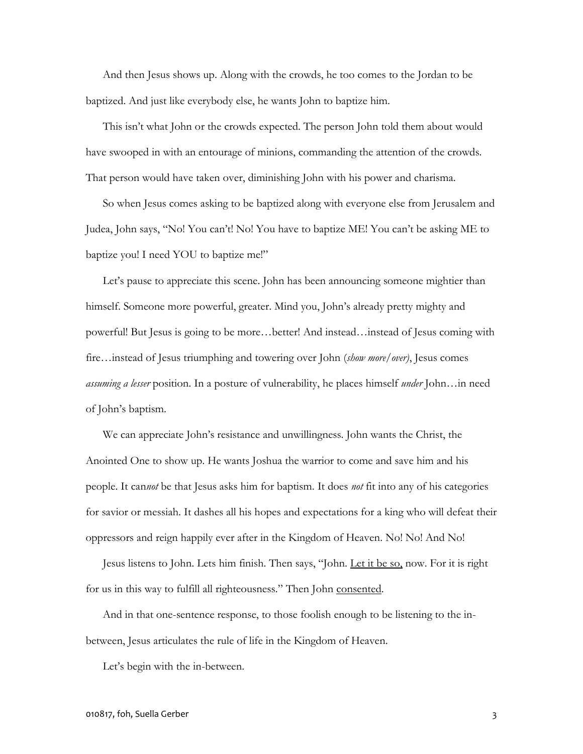And then Jesus shows up. Along with the crowds, he too comes to the Jordan to be baptized. And just like everybody else, he wants John to baptize him.

This isn't what John or the crowds expected. The person John told them about would have swooped in with an entourage of minions, commanding the attention of the crowds. That person would have taken over, diminishing John with his power and charisma.

So when Jesus comes asking to be baptized along with everyone else from Jerusalem and Judea, John says, "No! You can't! No! You have to baptize ME! You can't be asking ME to baptize you! I need YOU to baptize me!"

Let's pause to appreciate this scene. John has been announcing someone mightier than himself. Someone more powerful, greater. Mind you, John's already pretty mighty and powerful! But Jesus is going to be more…better! And instead…instead of Jesus coming with fire…instead of Jesus triumphing and towering over John (*show more/over)*, Jesus comes *assuming a lesser* position. In a posture of vulnerability, he places himself *under* John…in need of John's baptism.

We can appreciate John's resistance and unwillingness. John wants the Christ, the Anointed One to show up. He wants Joshua the warrior to come and save him and his people. It can*not* be that Jesus asks him for baptism. It does *not* fit into any of his categories for savior or messiah. It dashes all his hopes and expectations for a king who will defeat their oppressors and reign happily ever after in the Kingdom of Heaven. No! No! And No!

Jesus listens to John. Lets him finish. Then says, "John. Let it be so, now. For it is right for us in this way to fulfill all righteousness." Then John consented.

And in that one-sentence response, to those foolish enough to be listening to the inbetween, Jesus articulates the rule of life in the Kingdom of Heaven.

Let's begin with the in-between.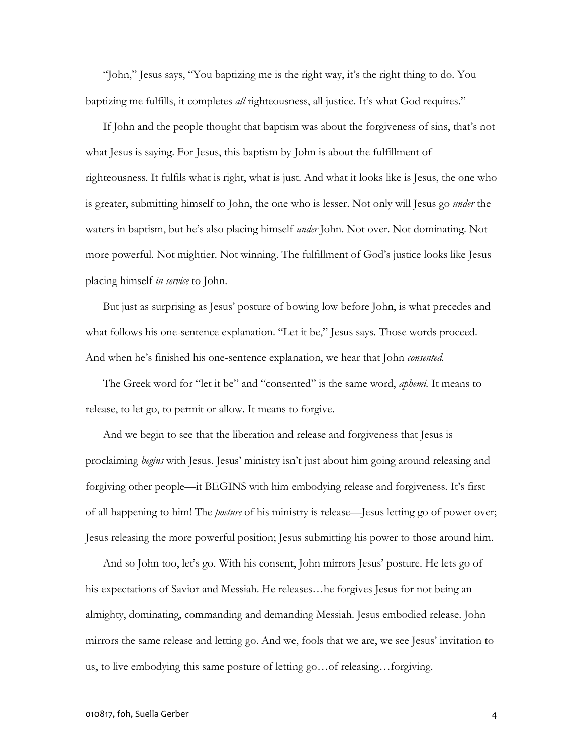"John," Jesus says, "You baptizing me is the right way, it's the right thing to do. You baptizing me fulfills, it completes *all* righteousness, all justice. It's what God requires."

If John and the people thought that baptism was about the forgiveness of sins, that's not what Jesus is saying. For Jesus, this baptism by John is about the fulfillment of righteousness. It fulfils what is right, what is just. And what it looks like is Jesus, the one who is greater, submitting himself to John, the one who is lesser. Not only will Jesus go *under* the waters in baptism, but he's also placing himself *under* John. Not over. Not dominating. Not more powerful. Not mightier. Not winning. The fulfillment of God's justice looks like Jesus placing himself *in service* to John.

But just as surprising as Jesus' posture of bowing low before John, is what precedes and what follows his one-sentence explanation. "Let it be," Jesus says. Those words proceed. And when he's finished his one-sentence explanation, we hear that John *consented.*

The Greek word for "let it be" and "consented" is the same word, *aphemi.* It means to release, to let go, to permit or allow. It means to forgive.

And we begin to see that the liberation and release and forgiveness that Jesus is proclaiming *begins* with Jesus. Jesus' ministry isn't just about him going around releasing and forgiving other people—it BEGINS with him embodying release and forgiveness. It's first of all happening to him! The *posture* of his ministry is release—Jesus letting go of power over; Jesus releasing the more powerful position; Jesus submitting his power to those around him.

And so John too, let's go. With his consent, John mirrors Jesus' posture. He lets go of his expectations of Savior and Messiah. He releases...he forgives Jesus for not being an almighty, dominating, commanding and demanding Messiah. Jesus embodied release. John mirrors the same release and letting go. And we, fools that we are, we see Jesus' invitation to us, to live embodying this same posture of letting go…of releasing…forgiving.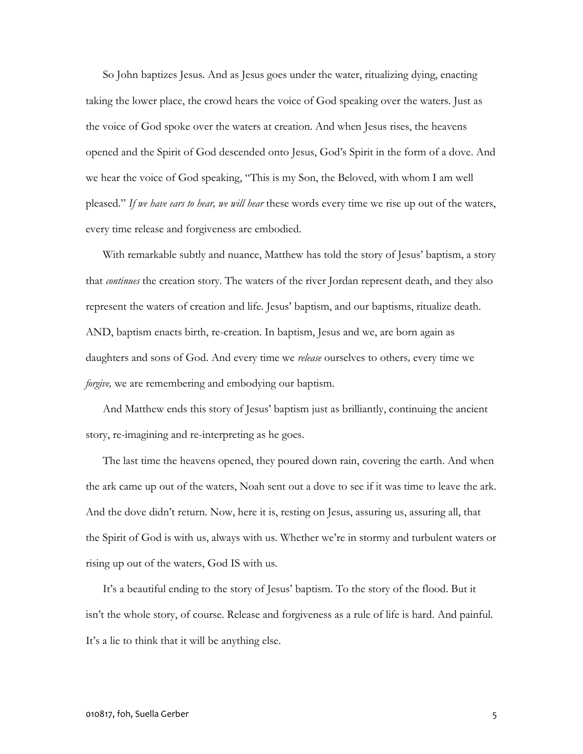So John baptizes Jesus. And as Jesus goes under the water, ritualizing dying, enacting taking the lower place, the crowd hears the voice of God speaking over the waters. Just as the voice of God spoke over the waters at creation. And when Jesus rises, the heavens opened and the Spirit of God descended onto Jesus, God's Spirit in the form of a dove. And we hear the voice of God speaking, "This is my Son, the Beloved, with whom I am well pleased." *If we have ears to hear, we will hear* these words every time we rise up out of the waters, every time release and forgiveness are embodied.

With remarkable subtly and nuance, Matthew has told the story of Jesus' baptism, a story that *continues* the creation story. The waters of the river Jordan represent death, and they also represent the waters of creation and life. Jesus' baptism, and our baptisms, ritualize death. AND, baptism enacts birth, re-creation. In baptism, Jesus and we, are born again as daughters and sons of God. And every time we *release* ourselves to others*,* every time we *forgive,* we are remembering and embodying our baptism.

And Matthew ends this story of Jesus' baptism just as brilliantly, continuing the ancient story, re-imagining and re-interpreting as he goes.

The last time the heavens opened, they poured down rain, covering the earth. And when the ark came up out of the waters, Noah sent out a dove to see if it was time to leave the ark. And the dove didn't return. Now, here it is, resting on Jesus, assuring us, assuring all, that the Spirit of God is with us, always with us. Whether we're in stormy and turbulent waters or rising up out of the waters, God IS with us.

It's a beautiful ending to the story of Jesus' baptism. To the story of the flood. But it isn't the whole story, of course. Release and forgiveness as a rule of life is hard. And painful. It's a lie to think that it will be anything else.